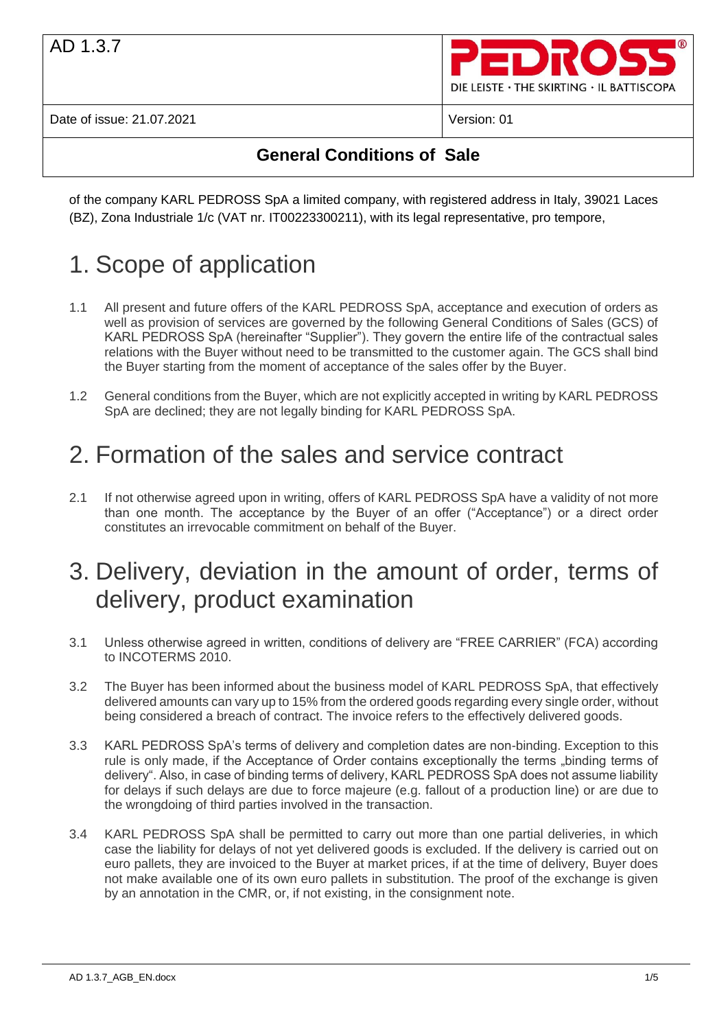

### **General Conditions of Sale**

of the company KARL PEDROSS SpA a limited company, with registered address in Italy, 39021 Laces (BZ), Zona Industriale 1/c (VAT nr. IT00223300211), with its legal representative, pro tempore,

# 1. Scope of application

- 1.1 All present and future offers of the KARL PEDROSS SpA, acceptance and execution of orders as well as provision of services are governed by the following General Conditions of Sales (GCS) of KARL PEDROSS SpA (hereinafter "Supplier"). They govern the entire life of the contractual sales relations with the Buyer without need to be transmitted to the customer again. The GCS shall bind the Buyer starting from the moment of acceptance of the sales offer by the Buyer.
- 1.2 General conditions from the Buyer, which are not explicitly accepted in writing by KARL PEDROSS SpA are declined; they are not legally binding for KARL PEDROSS SpA.

## 2. Formation of the sales and service contract

2.1 If not otherwise agreed upon in writing, offers of KARL PEDROSS SpA have a validity of not more than one month. The acceptance by the Buyer of an offer ("Acceptance") or a direct order constitutes an irrevocable commitment on behalf of the Buyer.

### 3. Delivery, deviation in the amount of order, terms of delivery, product examination

- 3.1 Unless otherwise agreed in written, conditions of delivery are "FREE CARRIER" (FCA) according to INCOTERMS 2010.
- 3.2 The Buyer has been informed about the business model of KARL PEDROSS SpA, that effectively delivered amounts can vary up to 15% from the ordered goods regarding every single order, without being considered a breach of contract. The invoice refers to the effectively delivered goods.
- 3.3 KARL PEDROSS SpA's terms of delivery and completion dates are non-binding. Exception to this rule is only made, if the Acceptance of Order contains exceptionally the terms "binding terms of delivery". Also, in case of binding terms of delivery, KARL PEDROSS SpA does not assume liability for delays if such delays are due to force majeure (e.g. fallout of a production line) or are due to the wrongdoing of third parties involved in the transaction.
- 3.4 KARL PEDROSS SpA shall be permitted to carry out more than one partial deliveries, in which case the liability for delays of not yet delivered goods is excluded. If the delivery is carried out on euro pallets, they are invoiced to the Buyer at market prices, if at the time of delivery, Buyer does not make available one of its own euro pallets in substitution. The proof of the exchange is given by an annotation in the CMR, or, if not existing, in the consignment note.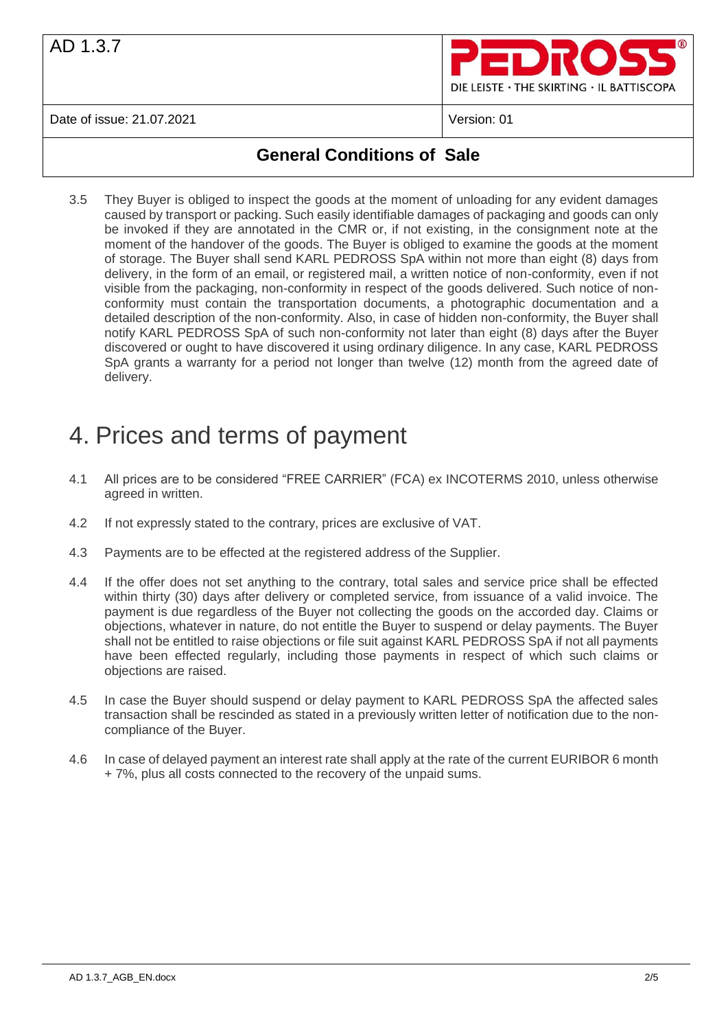

### **General Conditions of Sale**

3.5 They Buyer is obliged to inspect the goods at the moment of unloading for any evident damages caused by transport or packing. Such easily identifiable damages of packaging and goods can only be invoked if they are annotated in the CMR or, if not existing, in the consignment note at the moment of the handover of the goods. The Buyer is obliged to examine the goods at the moment of storage. The Buyer shall send KARL PEDROSS SpA within not more than eight (8) days from delivery, in the form of an email, or registered mail, a written notice of non-conformity, even if not visible from the packaging, non-conformity in respect of the goods delivered. Such notice of nonconformity must contain the transportation documents, a photographic documentation and a detailed description of the non-conformity. Also, in case of hidden non-conformity, the Buyer shall notify KARL PEDROSS SpA of such non-conformity not later than eight (8) days after the Buyer discovered or ought to have discovered it using ordinary diligence. In any case, KARL PEDROSS SpA grants a warranty for a period not longer than twelve (12) month from the agreed date of delivery.

## 4. Prices and terms of payment

- 4.1 All prices are to be considered "FREE CARRIER" (FCA) ex INCOTERMS 2010, unless otherwise agreed in written.
- 4.2 If not expressly stated to the contrary, prices are exclusive of VAT.
- 4.3 Payments are to be effected at the registered address of the Supplier.
- 4.4 If the offer does not set anything to the contrary, total sales and service price shall be effected within thirty (30) days after delivery or completed service, from issuance of a valid invoice. The payment is due regardless of the Buyer not collecting the goods on the accorded day. Claims or objections, whatever in nature, do not entitle the Buyer to suspend or delay payments. The Buyer shall not be entitled to raise objections or file suit against KARL PEDROSS SpA if not all payments have been effected regularly, including those payments in respect of which such claims or objections are raised.
- 4.5 In case the Buyer should suspend or delay payment to KARL PEDROSS SpA the affected sales transaction shall be rescinded as stated in a previously written letter of notification due to the noncompliance of the Buyer.
- 4.6 In case of delayed payment an interest rate shall apply at the rate of the current EURIBOR 6 month + 7%, plus all costs connected to the recovery of the unpaid sums.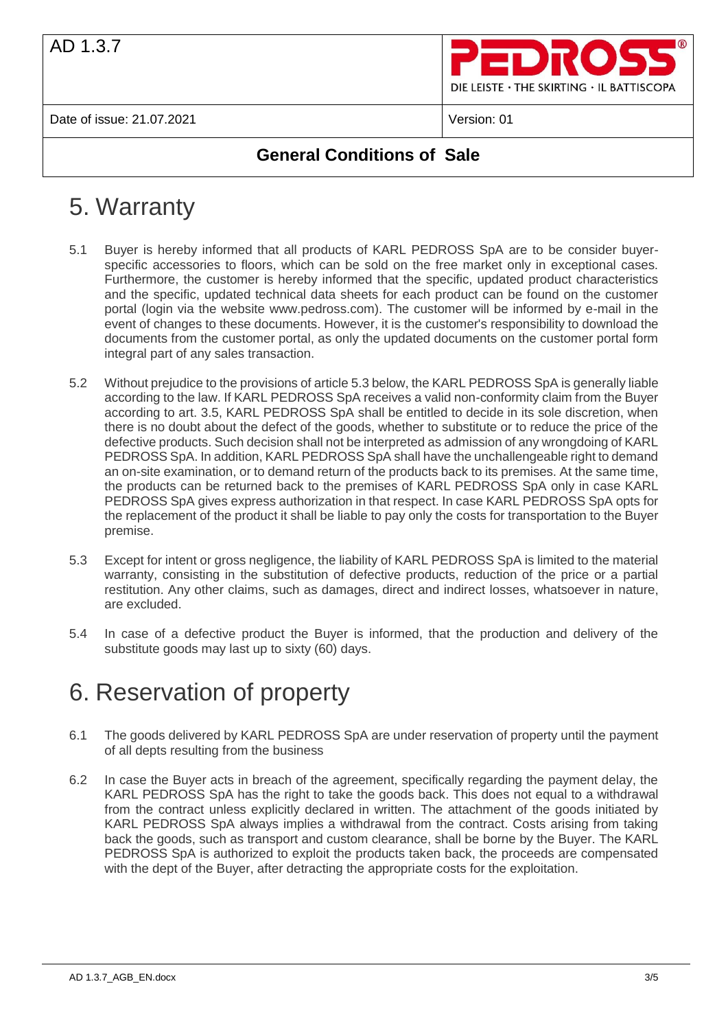

### **General Conditions of Sale**

# 5. Warranty

- 5.1 Buyer is hereby informed that all products of KARL PEDROSS SpA are to be consider buyerspecific accessories to floors, which can be sold on the free market only in exceptional cases. Furthermore, the customer is hereby informed that the specific, updated product characteristics and the specific, updated technical data sheets for each product can be found on the customer portal (login via the website www.pedross.com). The customer will be informed by e-mail in the event of changes to these documents. However, it is the customer's responsibility to download the documents from the customer portal, as only the updated documents on the customer portal form integral part of any sales transaction.
- 5.2 Without prejudice to the provisions of article 5.3 below, the KARL PEDROSS SpA is generally liable according to the law. If KARL PEDROSS SpA receives a valid non-conformity claim from the Buyer according to art. 3.5, KARL PEDROSS SpA shall be entitled to decide in its sole discretion, when there is no doubt about the defect of the goods, whether to substitute or to reduce the price of the defective products. Such decision shall not be interpreted as admission of any wrongdoing of KARL PEDROSS SpA. In addition, KARL PEDROSS SpA shall have the unchallengeable right to demand an on-site examination, or to demand return of the products back to its premises. At the same time, the products can be returned back to the premises of KARL PEDROSS SpA only in case KARL PEDROSS SpA gives express authorization in that respect. In case KARL PEDROSS SpA opts for the replacement of the product it shall be liable to pay only the costs for transportation to the Buyer premise.
- 5.3 Except for intent or gross negligence, the liability of KARL PEDROSS SpA is limited to the material warranty, consisting in the substitution of defective products, reduction of the price or a partial restitution. Any other claims, such as damages, direct and indirect losses, whatsoever in nature, are excluded.
- 5.4 In case of a defective product the Buyer is informed, that the production and delivery of the substitute goods may last up to sixty (60) days.

## 6. Reservation of property

- 6.1 The goods delivered by KARL PEDROSS SpA are under reservation of property until the payment of all depts resulting from the business
- 6.2 In case the Buyer acts in breach of the agreement, specifically regarding the payment delay, the KARL PEDROSS SpA has the right to take the goods back. This does not equal to a withdrawal from the contract unless explicitly declared in written. The attachment of the goods initiated by KARL PEDROSS SpA always implies a withdrawal from the contract. Costs arising from taking back the goods, such as transport and custom clearance, shall be borne by the Buyer. The KARL PEDROSS SpA is authorized to exploit the products taken back, the proceeds are compensated with the dept of the Buyer, after detracting the appropriate costs for the exploitation.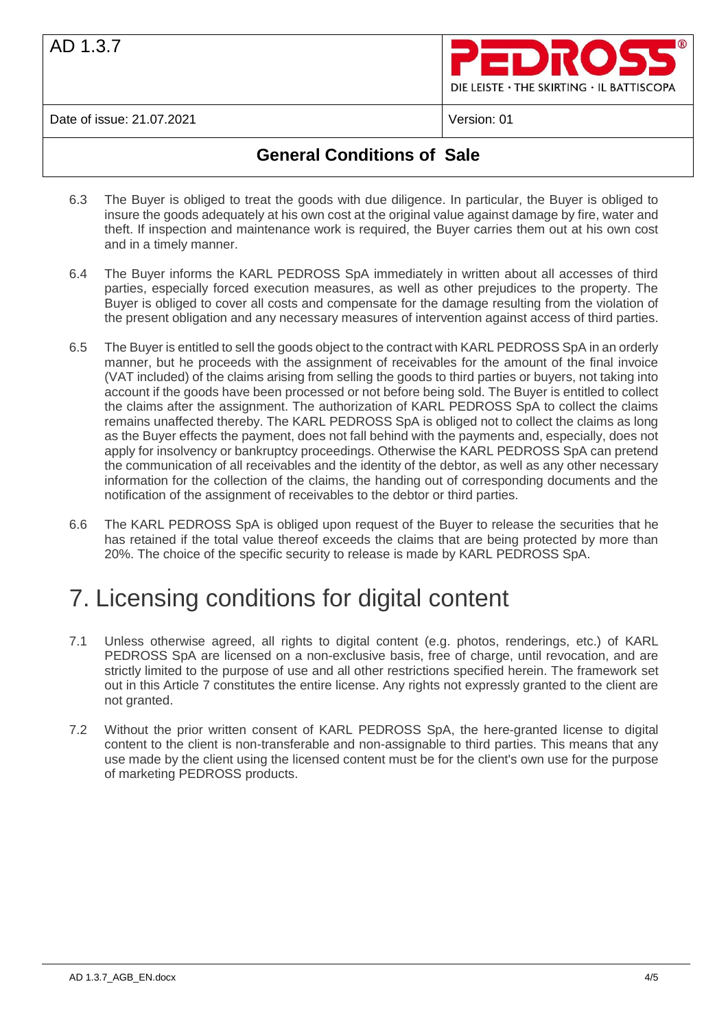

### **General Conditions of Sale**

- 6.3 The Buyer is obliged to treat the goods with due diligence. In particular, the Buyer is obliged to insure the goods adequately at his own cost at the original value against damage by fire, water and theft. If inspection and maintenance work is required, the Buyer carries them out at his own cost and in a timely manner.
- 6.4 The Buyer informs the KARL PEDROSS SpA immediately in written about all accesses of third parties, especially forced execution measures, as well as other prejudices to the property. The Buyer is obliged to cover all costs and compensate for the damage resulting from the violation of the present obligation and any necessary measures of intervention against access of third parties.
- 6.5 The Buyer is entitled to sell the goods object to the contract with KARL PEDROSS SpA in an orderly manner, but he proceeds with the assignment of receivables for the amount of the final invoice (VAT included) of the claims arising from selling the goods to third parties or buyers, not taking into account if the goods have been processed or not before being sold. The Buyer is entitled to collect the claims after the assignment. The authorization of KARL PEDROSS SpA to collect the claims remains unaffected thereby. The KARL PEDROSS SpA is obliged not to collect the claims as long as the Buyer effects the payment, does not fall behind with the payments and, especially, does not apply for insolvency or bankruptcy proceedings. Otherwise the KARL PEDROSS SpA can pretend the communication of all receivables and the identity of the debtor, as well as any other necessary information for the collection of the claims, the handing out of corresponding documents and the notification of the assignment of receivables to the debtor or third parties.
- 6.6 The KARL PEDROSS SpA is obliged upon request of the Buyer to release the securities that he has retained if the total value thereof exceeds the claims that are being protected by more than 20%. The choice of the specific security to release is made by KARL PEDROSS SpA.

## 7. Licensing conditions for digital content

- 7.1 Unless otherwise agreed, all rights to digital content (e.g. photos, renderings, etc.) of KARL PEDROSS SpA are licensed on a non-exclusive basis, free of charge, until revocation, and are strictly limited to the purpose of use and all other restrictions specified herein. The framework set out in this Article 7 constitutes the entire license. Any rights not expressly granted to the client are not granted.
- 7.2 Without the prior written consent of KARL PEDROSS SpA, the here-granted license to digital content to the client is non-transferable and non-assignable to third parties. This means that any use made by the client using the licensed content must be for the client's own use for the purpose of marketing PEDROSS products.